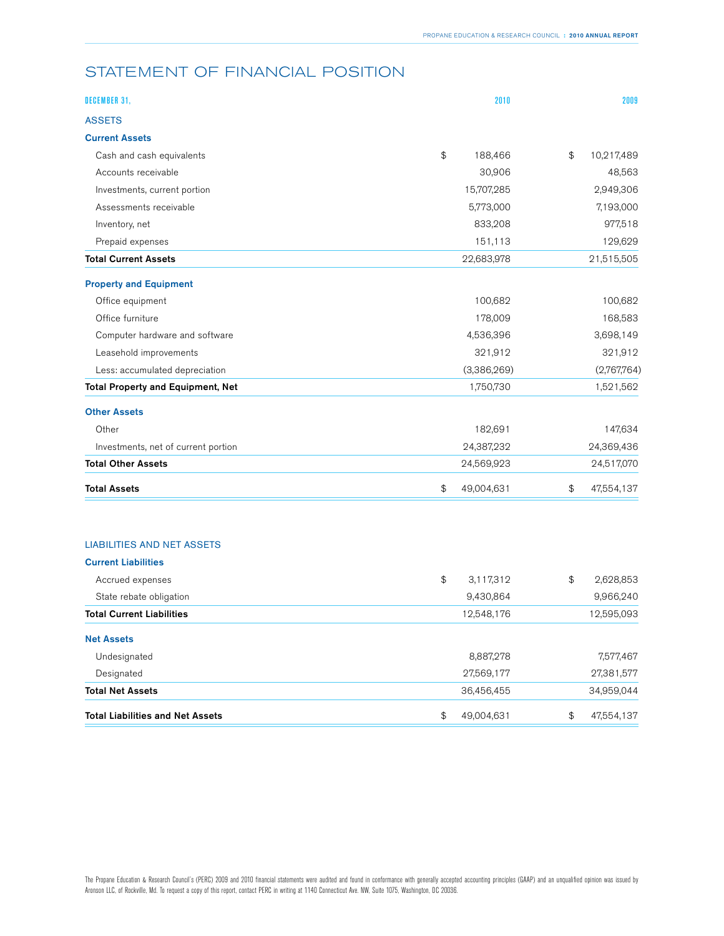## STATEMENT OF FINANCIAL POSITION

| <b>Total Liabilities and Net Assets</b>  | \$<br>49,004,631 |             | \$ | 47,554,137  |
|------------------------------------------|------------------|-------------|----|-------------|
| <b>Total Net Assets</b>                  | 36,456,455       |             |    | 34,959,044  |
| Designated                               |                  | 27,569,177  |    | 27,381,577  |
| Undesignated                             |                  | 8,887,278   |    | 7,577,467   |
| <b>Net Assets</b>                        |                  |             |    |             |
| <b>Total Current Liabilities</b>         |                  | 12,548,176  |    | 12,595,093  |
| State rebate obligation                  |                  | 9,430,864   |    | 9,966,240   |
| Accrued expenses                         | \$               | 3,117,312   | \$ | 2,628,853   |
| <b>Current Liabilities</b>               |                  |             |    |             |
| <b>LIABILITIES AND NET ASSETS</b>        |                  |             |    |             |
|                                          |                  |             |    |             |
| <b>Total Assets</b>                      | \$<br>49,004,631 |             | \$ | 47,554,137  |
| <b>Total Other Assets</b>                | 24,569,923       |             |    | 24,517,070  |
| Investments, net of current portion      |                  | 24,387,232  |    | 24,369,436  |
| Other                                    |                  | 182,691     |    | 147,634     |
| <b>Other Assets</b>                      |                  |             |    |             |
| <b>Total Property and Equipment, Net</b> |                  | 1,750,730   |    | 1,521,562   |
| Less: accumulated depreciation           |                  | (3,386,269) |    | (2,767,764) |
| Leasehold improvements                   |                  | 321,912     |    | 321,912     |
| Computer hardware and software           |                  | 4,536,396   |    | 3,698,149   |
| Office furniture                         |                  | 178,009     |    | 168,583     |
| Office equipment                         |                  | 100,682     |    | 100,682     |
| <b>Property and Equipment</b>            |                  |             |    |             |
| <b>Total Current Assets</b>              |                  | 22,683,978  |    | 21,515,505  |
| Prepaid expenses                         |                  | 151,113     |    | 129,629     |
| Inventory, net                           |                  | 833,208     |    | 977,518     |
| Assessments receivable                   |                  | 5,773,000   |    | 7,193,000   |
| Investments, current portion             |                  | 15,707,285  |    | 2,949,306   |
| Accounts receivable                      |                  | 30,906      |    | 48,563      |
| Cash and cash equivalents                | \$               | 188,466     | \$ | 10,217,489  |
| <b>Current Assets</b>                    |                  |             |    |             |
| <b>ASSETS</b>                            |                  |             |    |             |
| DECEMBER 31,                             |                  | 2010        |    | 2009        |
|                                          |                  |             |    |             |